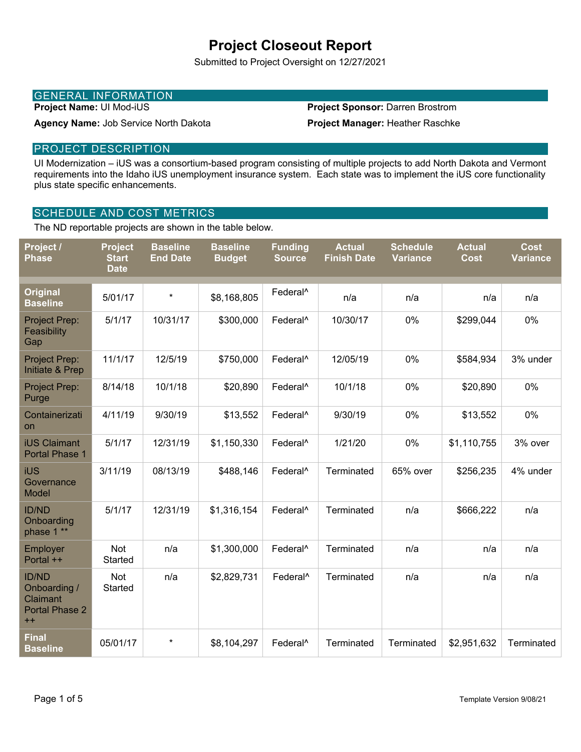# **Project Closeout Report**

Submitted to Project Oversight on 12/27/2021

### GENERAL INFORMATION

**Project Name:** UI Mod-iUS

#### **Project Sponsor:** Darren Brostrom

**Project Manager:** Heather Raschke

#### PROJECT DESCRIPTION

UI Modernization – iUS was a consortium-based program consisting of multiple projects to add North Dakota and Vermont requirements into the Idaho iUS unemployment insurance system. Each state was to implement the iUS core functionality plus state specific enhancements.

#### SCHEDULE AND COST METRICS

**Agency Name:** Job Service North Dakota

The ND reportable projects are shown in the table below.

| Project /<br><b>Phase</b>                                          | <b>Project</b><br><b>Start</b><br><b>Date</b> | <b>Baseline</b><br><b>End Date</b> | <b>Baseline</b><br><b>Budget</b> | <b>Funding</b><br><b>Source</b> | <b>Actual</b><br><b>Finish Date</b> | <b>Schedule</b><br><b>Variance</b> | <b>Actual</b><br><b>Cost</b> | <b>Cost</b><br><b>Variance</b> |
|--------------------------------------------------------------------|-----------------------------------------------|------------------------------------|----------------------------------|---------------------------------|-------------------------------------|------------------------------------|------------------------------|--------------------------------|
| <b>Original</b><br><b>Baseline</b>                                 | 5/01/17                                       | $\star$                            | \$8,168,805                      | Federal <sup>^</sup>            | n/a                                 | n/a                                | n/a                          | n/a                            |
| Project Prep:<br>Feasibility<br>Gap                                | 5/1/17                                        | 10/31/17                           | \$300,000                        | Federal <sup>^</sup>            | 10/30/17                            | 0%                                 | \$299,044                    | 0%                             |
| Project Prep:<br>Initiate & Prep                                   | 11/1/17                                       | 12/5/19                            | \$750,000                        | Federal <sup>^</sup>            | 12/05/19                            | 0%                                 | \$584,934                    | 3% under                       |
| Project Prep:<br>Purge                                             | 8/14/18                                       | 10/1/18                            | \$20,890                         | Federal <sup>^</sup>            | 10/1/18                             | 0%                                 | \$20,890                     | 0%                             |
| Containerizati<br><b>on</b>                                        | 4/11/19                                       | 9/30/19                            | \$13,552                         | Federal <sup>^</sup>            | 9/30/19                             | 0%                                 | \$13,552                     | 0%                             |
| <b>iUS Claimant</b><br>Portal Phase 1                              | 5/1/17                                        | 12/31/19                           | \$1,150,330                      | Federal <sup>^</sup>            | 1/21/20                             | 0%                                 | \$1,110,755                  | 3% over                        |
| iUS<br>Governance<br>Model                                         | 3/11/19                                       | 08/13/19                           | \$488,146                        | Federal <sup>^</sup>            | Terminated                          | 65% over                           | \$256,235                    | 4% under                       |
| <b>ID/ND</b><br>Onboarding<br>phase 1 **                           | 5/1/17                                        | 12/31/19                           | \$1,316,154                      | Federal <sup>^</sup>            | Terminated                          | n/a                                | \$666,222                    | n/a                            |
| Employer<br>Portal ++                                              | Not<br>Started                                | n/a                                | \$1,300,000                      | Federal <sup>^</sup>            | Terminated                          | n/a                                | n/a                          | n/a                            |
| <b>ID/ND</b><br>Onboarding /<br>Claimant<br>Portal Phase 2<br>$++$ | Not<br>Started                                | n/a                                | \$2,829,731                      | Federal <sup>^</sup>            | Terminated                          | n/a                                | n/a                          | n/a                            |
| <b>Final</b><br><b>Baseline</b>                                    | 05/01/17                                      | $\star$                            | \$8,104,297                      | Federal <sup>^</sup>            | Terminated                          | Terminated                         | \$2,951,632                  | Terminated                     |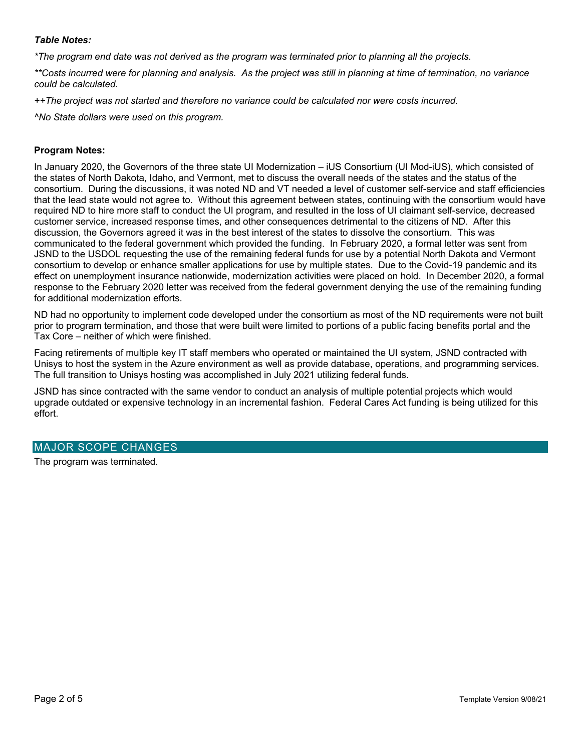#### *Table Notes:*

*\*The program end date was not derived as the program was terminated prior to planning all the projects.* 

*\*\*Costs incurred were for planning and analysis. As the project was still in planning at time of termination, no variance could be calculated.* 

*++The project was not started and therefore no variance could be calculated nor were costs incurred.* 

*^No State dollars were used on this program.* 

#### **Program Notes:**

In January 2020, the Governors of the three state UI Modernization – iUS Consortium (UI Mod-iUS), which consisted of the states of North Dakota, Idaho, and Vermont, met to discuss the overall needs of the states and the status of the consortium. During the discussions, it was noted ND and VT needed a level of customer self-service and staff efficiencies that the lead state would not agree to. Without this agreement between states, continuing with the consortium would have required ND to hire more staff to conduct the UI program, and resulted in the loss of UI claimant self-service, decreased customer service, increased response times, and other consequences detrimental to the citizens of ND. After this discussion, the Governors agreed it was in the best interest of the states to dissolve the consortium. This was communicated to the federal government which provided the funding. In February 2020, a formal letter was sent from JSND to the USDOL requesting the use of the remaining federal funds for use by a potential North Dakota and Vermont consortium to develop or enhance smaller applications for use by multiple states. Due to the Covid-19 pandemic and its effect on unemployment insurance nationwide, modernization activities were placed on hold. In December 2020, a formal response to the February 2020 letter was received from the federal government denying the use of the remaining funding for additional modernization efforts.

ND had no opportunity to implement code developed under the consortium as most of the ND requirements were not built prior to program termination, and those that were built were limited to portions of a public facing benefits portal and the Tax Core – neither of which were finished.

Facing retirements of multiple key IT staff members who operated or maintained the UI system, JSND contracted with Unisys to host the system in the Azure environment as well as provide database, operations, and programming services. The full transition to Unisys hosting was accomplished in July 2021 utilizing federal funds.

JSND has since contracted with the same vendor to conduct an analysis of multiple potential projects which would upgrade outdated or expensive technology in an incremental fashion. Federal Cares Act funding is being utilized for this effort.

#### MAJOR SCOPE CHANGES

The program was terminated.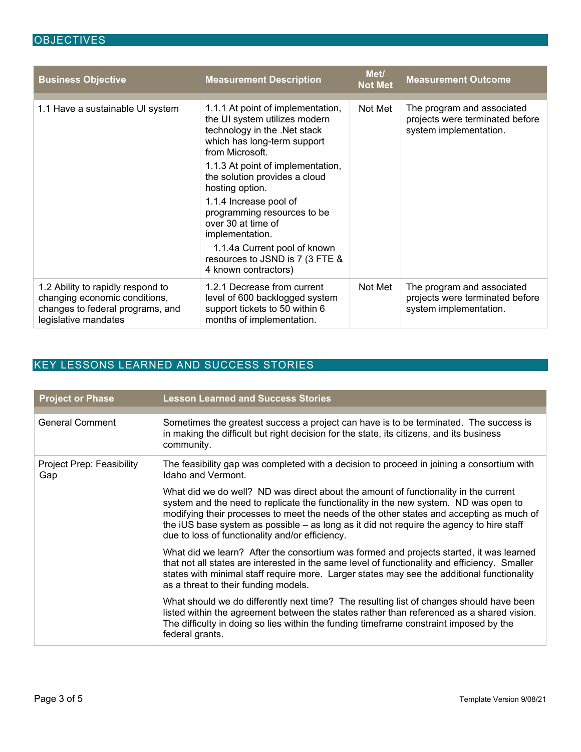| <b>Business Objective</b>                                                                                                      | <b>Measurement Description</b>                                                                                                                       | Met/<br><b>Not Met</b> | <b>Measurement Outcome</b>                                                              |
|--------------------------------------------------------------------------------------------------------------------------------|------------------------------------------------------------------------------------------------------------------------------------------------------|------------------------|-----------------------------------------------------------------------------------------|
| 1.1 Have a sustainable UI system                                                                                               | 1.1.1 At point of implementation,<br>the UI system utilizes modern<br>technology in the .Net stack<br>which has long-term support<br>from Microsoft. | Not Met                | The program and associated<br>projects were terminated before<br>system implementation. |
|                                                                                                                                | 1.1.3 At point of implementation,<br>the solution provides a cloud<br>hosting option.                                                                |                        |                                                                                         |
|                                                                                                                                | 1.1.4 Increase pool of<br>programming resources to be<br>over 30 at time of<br>implementation.                                                       |                        |                                                                                         |
|                                                                                                                                | 1.1.4a Current pool of known<br>resources to JSND is 7 (3 FTE &<br>4 known contractors)                                                              |                        |                                                                                         |
| 1.2 Ability to rapidly respond to<br>changing economic conditions,<br>changes to federal programs, and<br>legislative mandates | 1.2.1 Decrease from current<br>level of 600 backlogged system<br>support tickets to 50 within 6<br>months of implementation.                         | Not Met                | The program and associated<br>projects were terminated before<br>system implementation. |

## KEY LESSONS LEARNED AND SUCCESS STORIES

| <b>Project or Phase</b>          | <b>Lesson Learned and Success Stories</b>                                                                                                                                                                                                                                                                                                                                                                              |
|----------------------------------|------------------------------------------------------------------------------------------------------------------------------------------------------------------------------------------------------------------------------------------------------------------------------------------------------------------------------------------------------------------------------------------------------------------------|
| <b>General Comment</b>           | Sometimes the greatest success a project can have is to be terminated. The success is<br>in making the difficult but right decision for the state, its citizens, and its business<br>community.                                                                                                                                                                                                                        |
| Project Prep: Feasibility<br>Gap | The feasibility gap was completed with a decision to proceed in joining a consortium with<br>Idaho and Vermont.                                                                                                                                                                                                                                                                                                        |
|                                  | What did we do well? ND was direct about the amount of functionality in the current<br>system and the need to replicate the functionality in the new system. ND was open to<br>modifying their processes to meet the needs of the other states and accepting as much of<br>the iUS base system as possible - as long as it did not require the agency to hire staff<br>due to loss of functionality and/or efficiency. |
|                                  | What did we learn? After the consortium was formed and projects started, it was learned<br>that not all states are interested in the same level of functionality and efficiency. Smaller<br>states with minimal staff require more. Larger states may see the additional functionality<br>as a threat to their funding models.                                                                                         |
|                                  | What should we do differently next time? The resulting list of changes should have been<br>listed within the agreement between the states rather than referenced as a shared vision.<br>The difficulty in doing so lies within the funding timeframe constraint imposed by the<br>federal grants.                                                                                                                      |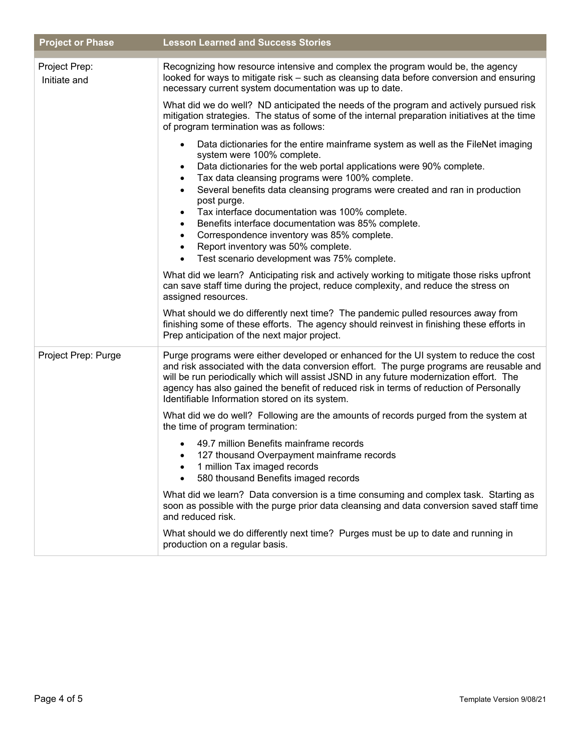| <b>Project or Phase</b>       | <b>Lesson Learned and Success Stories</b>                                                                                                                                                                                                                                                                                                                                                                                                                                                                                                                                                                    |  |  |  |
|-------------------------------|--------------------------------------------------------------------------------------------------------------------------------------------------------------------------------------------------------------------------------------------------------------------------------------------------------------------------------------------------------------------------------------------------------------------------------------------------------------------------------------------------------------------------------------------------------------------------------------------------------------|--|--|--|
| Project Prep:<br>Initiate and | Recognizing how resource intensive and complex the program would be, the agency<br>looked for ways to mitigate risk - such as cleansing data before conversion and ensuring<br>necessary current system documentation was up to date.                                                                                                                                                                                                                                                                                                                                                                        |  |  |  |
|                               | What did we do well? ND anticipated the needs of the program and actively pursued risk<br>mitigation strategies. The status of some of the internal preparation initiatives at the time<br>of program termination was as follows:                                                                                                                                                                                                                                                                                                                                                                            |  |  |  |
|                               | Data dictionaries for the entire mainframe system as well as the FileNet imaging<br>system were 100% complete.<br>Data dictionaries for the web portal applications were 90% complete.<br>Tax data cleansing programs were 100% complete.<br>Several benefits data cleansing programs were created and ran in production<br>$\bullet$<br>post purge.<br>Tax interface documentation was 100% complete.<br>$\bullet$<br>Benefits interface documentation was 85% complete.<br>Correspondence inventory was 85% complete.<br>Report inventory was 50% complete.<br>Test scenario development was 75% complete. |  |  |  |
|                               | What did we learn? Anticipating risk and actively working to mitigate those risks upfront<br>can save staff time during the project, reduce complexity, and reduce the stress on<br>assigned resources.                                                                                                                                                                                                                                                                                                                                                                                                      |  |  |  |
|                               | What should we do differently next time? The pandemic pulled resources away from<br>finishing some of these efforts. The agency should reinvest in finishing these efforts in<br>Prep anticipation of the next major project.                                                                                                                                                                                                                                                                                                                                                                                |  |  |  |
| Project Prep: Purge           | Purge programs were either developed or enhanced for the UI system to reduce the cost<br>and risk associated with the data conversion effort. The purge programs are reusable and<br>will be run periodically which will assist JSND in any future modernization effort. The<br>agency has also gained the benefit of reduced risk in terms of reduction of Personally<br>Identifiable Information stored on its system.                                                                                                                                                                                     |  |  |  |
|                               | What did we do well? Following are the amounts of records purged from the system at<br>the time of program termination:                                                                                                                                                                                                                                                                                                                                                                                                                                                                                      |  |  |  |
|                               | 49.7 million Benefits mainframe records<br>127 thousand Overpayment mainframe records<br>$\bullet$<br>1 million Tax imaged records<br>580 thousand Benefits imaged records                                                                                                                                                                                                                                                                                                                                                                                                                                   |  |  |  |
|                               | What did we learn? Data conversion is a time consuming and complex task. Starting as<br>soon as possible with the purge prior data cleansing and data conversion saved staff time<br>and reduced risk.                                                                                                                                                                                                                                                                                                                                                                                                       |  |  |  |
|                               | What should we do differently next time? Purges must be up to date and running in<br>production on a regular basis.                                                                                                                                                                                                                                                                                                                                                                                                                                                                                          |  |  |  |